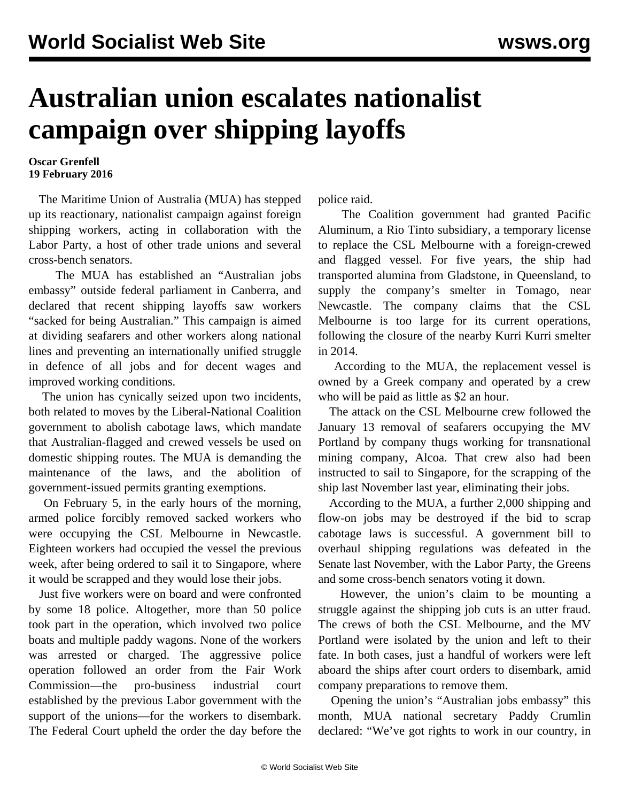## **Australian union escalates nationalist campaign over shipping layoffs**

## **Oscar Grenfell 19 February 2016**

 The Maritime Union of Australia (MUA) has stepped up its reactionary, nationalist campaign against foreign shipping workers, acting in collaboration with the Labor Party, a host of other trade unions and several cross-bench senators.

 The MUA has established an "Australian jobs embassy" outside federal parliament in Canberra, and declared that recent shipping layoffs saw workers "sacked for being Australian." This campaign is aimed at dividing seafarers and other workers along national lines and preventing an internationally unified struggle in defence of all jobs and for decent wages and improved working conditions.

 The union has cynically seized upon two incidents, both related to moves by the Liberal-National Coalition government to abolish cabotage laws, which mandate that Australian-flagged and crewed vessels be used on domestic shipping routes. The MUA is demanding the maintenance of the laws, and the abolition of government-issued permits granting exemptions.

 On February 5, in the early hours of the morning, armed police forcibly removed sacked workers who were occupying the CSL Melbourne in Newcastle. Eighteen workers had occupied the vessel the previous week, after being ordered to sail it to Singapore, where it would be scrapped and they would lose their jobs.

 Just five workers were on board and were confronted by some 18 police. Altogether, more than 50 police took part in the operation, which involved two police boats and multiple paddy wagons. None of the workers was arrested or charged. The aggressive police operation followed an order from the Fair Work Commission—the pro-business industrial court established by the previous Labor government with the support of the unions—for the workers to disembark. The Federal Court upheld the order the day before the

police raid.

 The Coalition government had granted Pacific Aluminum, a Rio Tinto subsidiary, a temporary license to replace the CSL Melbourne with a foreign-crewed and flagged vessel. For five years, the ship had transported alumina from Gladstone, in Queensland, to supply the company's smelter in Tomago, near Newcastle. The company claims that the CSL Melbourne is too large for its current operations, following the closure of the nearby Kurri Kurri smelter in 2014.

 According to the MUA, the replacement vessel is owned by a Greek company and operated by a crew who will be paid as little as \$2 an hour.

 The attack on the CSL Melbourne crew followed the January 13 removal of seafarers occupying the MV Portland by company thugs working for transnational mining company, Alcoa. That crew also had been instructed to sail to Singapore, for the scrapping of the ship last November last year, eliminating their jobs.

 According to the MUA, a further 2,000 shipping and flow-on jobs may be destroyed if the bid to scrap cabotage laws is successful. A government bill to overhaul shipping regulations was defeated in the Senate last November, with the Labor Party, the Greens and some cross-bench senators voting it down.

 However, the union's claim to be mounting a struggle against the shipping job cuts is an utter fraud. The crews of both the CSL Melbourne, and the MV Portland were isolated by the union and left to their fate. In both cases, just a handful of workers were left aboard the ships after court orders to disembark, amid company preparations to remove them.

 Opening the union's "Australian jobs embassy" this month, MUA national secretary Paddy Crumlin declared: "We've got rights to work in our country, in